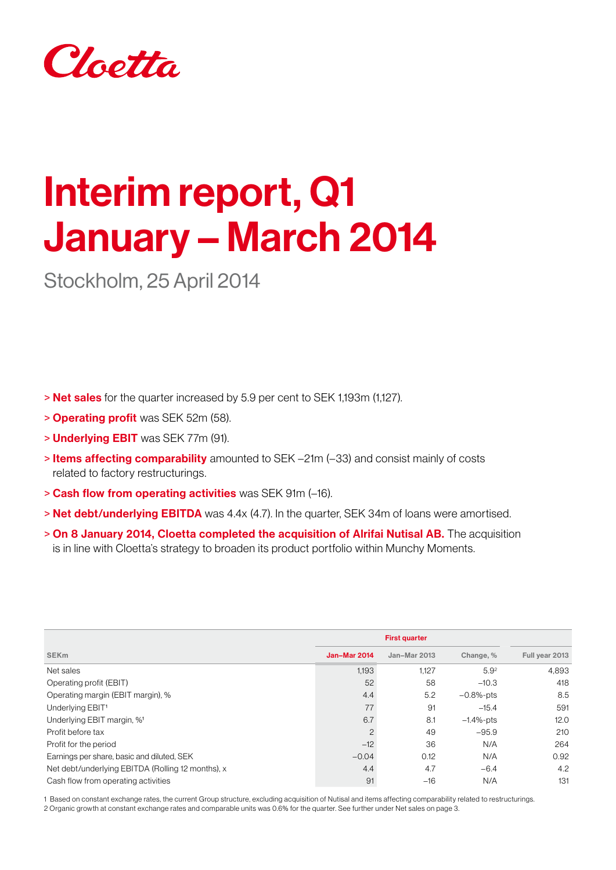

# Interim report, Q1 January – March 2014

Stockholm, 25 April 2014

> Net sales for the quarter increased by 5.9 per cent to SEK 1,193m (1,127).

- > Operating profit was SEK 52m (58).
- > Underlying EBIT was SEK 77m (91).
- > Items affecting comparability amounted to SEK –21m (–33) and consist mainly of costs related to factory restructurings.
- > Cash flow from operating activities was SEK 91m (–16).
- > Net debt/underlying EBITDA was 4.4x (4.7). In the quarter, SEK 34m of loans were amortised.
- > On 8 January 2014, Cloetta completed the acquisition of Alrifai Nutisal AB. The acquisition is in line with Cloetta's strategy to broaden its product portfolio within Munchy Moments.

| <b>SEK<sub>m</sub></b>                            | <b>Jan-Mar 2014</b> | Jan-Mar 2013 | Change, %        | Full year 2013 |
|---------------------------------------------------|---------------------|--------------|------------------|----------------|
| Net sales                                         | 1.193               | 1,127        | 5.9 <sup>2</sup> | 4.893          |
| Operating profit (EBIT)                           | 52                  | 58           | $-10.3$          | 418            |
| Operating margin (EBIT margin), %                 | 4.4                 | 5.2          | $-0.8%$ -pts     | 8.5            |
| Underlying EBIT <sup>1</sup>                      | 77                  | 91           | $-15.4$          | 591            |
| Underlying EBIT margin, % <sup>1</sup>            | 6.7                 | 8.1          | $-1.4%$ -pts     | 12.0           |
| Profit before tax                                 | $\overline{c}$      | 49           | $-95.9$          | 210            |
| Profit for the period                             | $-12$               | 36           | N/A              | 264            |
| Earnings per share, basic and diluted, SEK        | $-0.04$             | 0.12         | N/A              | 0.92           |
| Net debt/underlying EBITDA (Rolling 12 months), x | 4.4                 | 4.7          | $-6.4$           | 4.2            |
| Cash flow from operating activities               | 91                  | $-16$        | N/A              | 131            |

1 Based on constant exchange rates, the current Group structure, excluding acquisition of Nutisal and items affecting comparability related to restructurings. 2 Organic growth at constant exchange rates and comparable units was 0.6% for the quarter. See further under Net sales on page 3.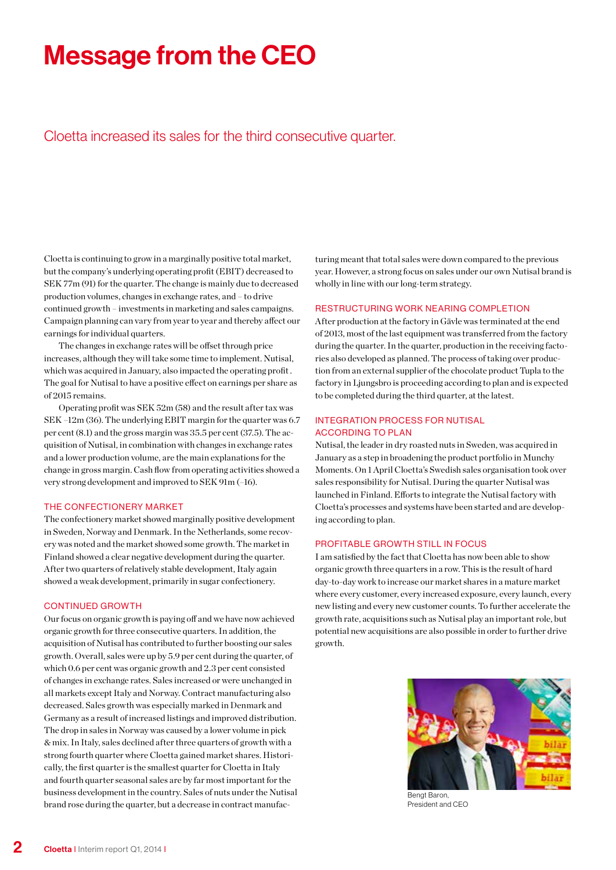## Message from the CEO

Cloetta increased its sales for the third consecutive quarter.

Cloetta is continuing to grow in a marginally positive total market, but the company's underlying operating profit (EBIT) decreased to SEK 77m (91) for the quarter. The change is mainly due to decreased production volumes, changes in exchange rates, and – to drive continued growth – investments in marketing and sales campaigns. Campaign planning can vary from year to year and thereby affect our earnings for individual quarters.

The changes in exchange rates will be offset through price increases, although they will take some time to implement. Nutisal, which was acquired in January, also impacted the operating profit . The goal for Nutisal to have a positive effect on earnings per share as of 2015 remains.

Operating profit was SEK 52m (58) and the result after tax was SEK –12m (36). The underlying EBIT margin for the quarter was 6.7 per cent (8.1) and the gross margin was 35.5 per cent (37.5). The acquisition of Nutisal, in combination with changes in exchange rates and a lower production volume, are the main explanations for the change in gross margin. Cash flow from operating activities showed a very strong development and improved to SEK 91m (–16).

### THE CONFECTIONERY MARKET

The confectionery market showed marginally positive development in Sweden, Norway and Denmark. In the Netherlands, some recovery was noted and the market showed some growth. The market in Finland showed a clear negative development during the quarter. After two quarters of relatively stable development, Italy again showed a weak development, primarily in sugar confectionery.

### **CONTINUED GROWTH**

Our focus on organic growth is paying off and we have now achieved organic growth for three consecutive quarters. In addition, the acquisition of Nutisal has contributed to further boosting our sales growth. Overall, sales were up by 5.9 per cent during the quarter, of which 0.6 per cent was organic growth and 2.3 per cent consisted of changes in exchange rates. Sales increased or were unchanged in all markets except Italy and Norway. Contract manufacturing also decreased. Sales growth was especially marked in Denmark and Germany as a result of increased listings and improved distribution. The drop in sales in Norway was caused by a lower volume in pick & mix. In Italy, sales declined after three quarters of growth with a strong fourth quarter where Cloetta gained market shares. Historically, the first quarter is the smallest quarter for Cloetta in Italy and fourth quarter seasonal sales are by far most important for the business development in the country. Sales of nuts under the Nutisal brand rose during the quarter, but a decrease in contract manufacturing meant that total sales were down compared to the previous year. However, a strong focus on sales under our own Nutisal brand is wholly in line with our long-term strategy.

### Restructuring work nearing completion

After production at the factory in Gävle was terminated at the end of 2013, most of the last equipment was transferred from the factory during the quarter. In the quarter, production in the receiving factories also developed as planned. The process of taking over production from an external supplier of the chocolate product Tupla to the factory in Ljungsbro is proceeding according to plan and is expected to be completed during the third quarter, at the latest.

### Integration process for Nutisal according to plan

Nutisal, the leader in dry roasted nuts in Sweden, was acquired in January as a step in broadening the product portfolio in Munchy Moments. On 1 April Cloetta's Swedish sales organisation took over sales responsibility for Nutisal. During the quarter Nutisal was launched in Finland. Efforts to integrate the Nutisal factory with Cloetta's processes and systems have been started and are developing according to plan.

#### Profitable growth still in focus

I am satisfied by the fact that Cloetta has now been able to show organic growth three quarters in a row. This is the result of hard day-to-day work to increase our market shares in a mature market where every customer, every increased exposure, every launch, every new listing and every new customer counts. To further accelerate the growth rate, acquisitions such as Nutisal play an important role, but potential new acquisitions are also possible in order to further drive growth.



President and CEO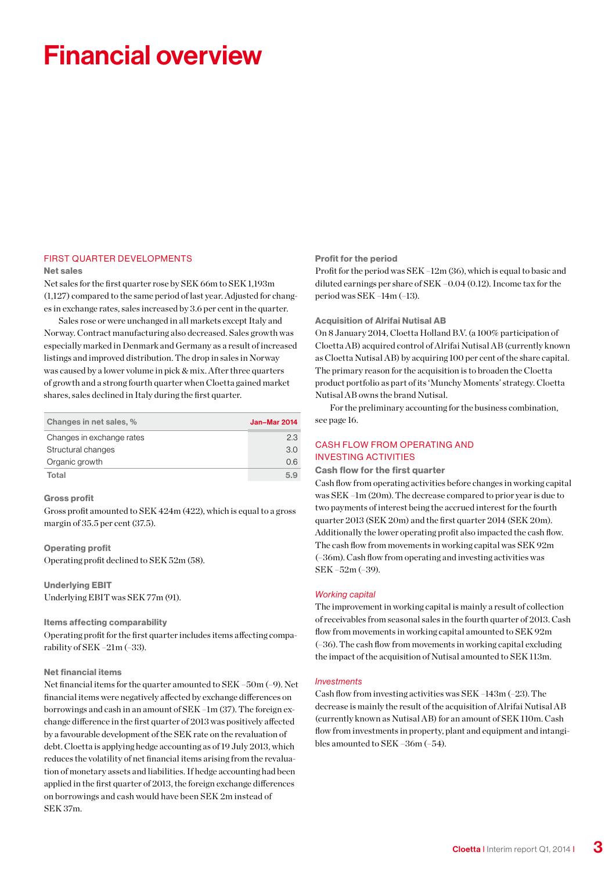## Financial overview

### **FIRST QUARTER DEVELOPMENTS**

#### Net sales

Net sales for the first quarter rose by SEK 66m to SEK 1,193m (1,127) compared to the same period of last year. Adjusted for changes in exchange rates, sales increased by 3.6 per cent in the quarter.

Sales rose or were unchanged in all markets except Italy and Norway. Contract manufacturing also decreased. Sales growth was especially marked in Denmark and Germany as a result of increased listings and improved distribution. The drop in sales in Norway was caused by a lower volume in pick & mix. After three quarters of growth and a strong fourth quarter when Cloetta gained market shares, sales declined in Italy during the first quarter.

| Changes in net sales, %   | Jan-Mar 2014 |
|---------------------------|--------------|
| Changes in exchange rates | 23           |
| Structural changes        | 3.0          |
| Organic growth            | 0.6          |
| Total                     | 59           |

#### Gross profit

Gross profit amounted to SEK 424m (422), which is equal to a gross margin of 35.5 per cent (37.5).

### Operating profit

Operating profit declined to SEK 52m (58).

Underlying EBIT Underlying EBIT was SEK 77m (91).

#### Items affecting comparability

Operating profit for the first quarter includes items affecting comparability of SEK –21m (–33).

### Net financial items

Net financial items for the quarter amounted to SEK –50m (–9). Net financial items were negatively affected by exchange differences on borrowings and cash in an amount of SEK –1m (37). The foreign exchange difference in the first quarter of 2013 was positively affected by a favourable development of the SEK rate on the revaluation of debt. Cloetta is applying hedge accounting as of 19 July 2013, which reduces the volatility of net financial items arising from the revaluation of monetary assets and liabilities. If hedge accounting had been applied in the first quarter of 2013, the foreign exchange differences on borrowings and cash would have been SEK 2m instead of SEK 37m.

#### Profit for the period

Profit for the period was SEK –12m (36), which is equal to basic and diluted earnings per share of SEK –0.04 (0.12). Income tax for the period was SEK –14m (–13).

### Acquisition of Alrifai Nutisal AB

On 8 January 2014, Cloetta Holland B.V. (a 100% participation of Cloetta AB) acquired control of Alrifai Nutisal AB (currently known as Cloetta Nutisal AB) by acquiring 100 per cent of the share capital. The primary reason for the acquisition is to broaden the Cloetta product portfolio as part of its 'Munchy Moments' strategy. Cloetta Nutisal AB owns the brand Nutisal.

For the preliminary accounting for the business combination, see page 16.

### **CASH FLOW FROM OPERATING AND INVESTING ACTIVITIES**

### Cash flow for the first quarter

Cash flow from operating activities before changes in working capital was SEK –1m (20m). The decrease compared to prior year is due to two payments of interest being the accrued interest for the fourth quarter 2013 (SEK 20m) and the first quarter 2014 (SEK 20m). Additionally the lower operating profit also impacted the cash flow. The cash flow from movements in working capital was SEK 92m (–36m). Cash flow from operating and investing activities was SEK –52m (–39).

### *Working capital*

The improvement in working capital is mainly a result of collection of receivables from seasonal sales in the fourth quarter of 2013. Cash flow from movements in working capital amounted to SEK 92m (–36). The cash flow from movements in working capital excluding the impact of the acquisition of Nutisal amounted to SEK 113m.

#### *Investments*

Cash flow from investing activities was SEK –143m (–23). The decrease is mainly the result of the acquisition of Alrifai Nutisal AB (currently known as Nutisal AB) for an amount of SEK 110m. Cash flow from investments in property, plant and equipment and intangibles amounted to SEK –36m (–54).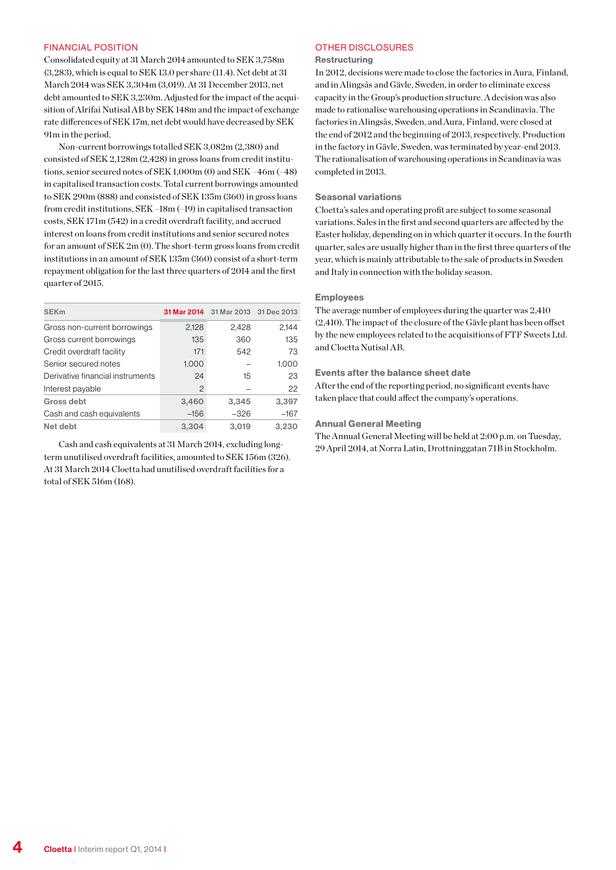#### FINANCIAL POSITION

Consolidated equity at 31 March 2014 amounted to SEK 3,758m (3,283), which is equal to SEK 13.0 per share (11.4). Net debt at 31 March 2014 was SEK 3,304m (3,019). At 31 December 2013, net debt amounted to SEK 3,230m. Adjusted for the impact of the acquisition of Alrifai Nutisal AB by SEK 148m and the impact of exchange rate differences of SEK 17m, net debt would have decreased by SEK 91m in the period.

Non-current borrowings totalled SEK 3,082m (2,380) and consisted of SEK 2,128m (2,428) in gross loans from credit institutions, senior secured notes of SEK 1,000m (0) and SEK –46m (–48) in capitalised transaction costs. Total current borrowings amounted to SEK 290m (888) and consisted of SEK 135m (360) in gross loans from credit institutions, SEK –18m (–19) in capitalised transaction costs, SEK 171m (542) in a credit overdraft facility, and accrued interest on loans from credit institutions and senior secured notes for an amount of SEK 2m (0). The short-term gross loans from credit institutions in an amount of SEK 135m (360) consist of a short-term repayment obligation for the last three quarters of 2014 and the first quarter of 2015.

| <b>SEKm</b>                      |                | 31 Mar 2014 31 Mar 2013 31 Dec 2013 |        |
|----------------------------------|----------------|-------------------------------------|--------|
| Gross non-current borrowings     | 2,128          | 2,428                               | 2,144  |
| Gross current borrowings         | 135            | 360                                 | 135    |
| Credit overdraft facility        | 171            | 542                                 | 73     |
| Senior secured notes             | 1,000          |                                     | 1,000  |
| Derivative financial instruments | 24             | 15                                  | 23     |
| Interest payable                 | $\overline{c}$ |                                     | 22     |
| Gross debt                       | 3,460          | 3,345                               | 3,397  |
| Cash and cash equivalents        | $-156$         | $-326$                              | $-167$ |
| Net debt                         | 3.304          | 3,019                               | 3,230  |

Cash and cash equivalents at 31 March 2014, excluding longterm unutilised overdraft facilities, amounted to SEK 156m (326). At 31 March 2014 Cloetta had unutilised overdraft facilities for a total of SEK 516m (168).

### OTHER DISCLOSURES

### Restructuring

In 2012, decisions were made to close the factories in Aura, Finland, and in Alingsås and Gävle, Sweden, in order to eliminate excess capacity in the Group's production structure. A decision was also made to rationalise warehousing operations in Scandinavia. The factories in Alingsås, Sweden, and Aura, Finland, were closed at the end of 2012 and the beginning of 2013, respectively. Production in the factory in Gävle, Sweden, was terminated by year-end 2013. The rationalisation of warehousing operations in Scandinavia was completed in 2013.

### Seasonal variations

Cloetta's sales and operating profit are subject to some seasonal variations. Sales in the first and second quarters are affected by the Easter holiday, depending on in which quarter it occurs. In the fourth quarter, sales are usually higher than in the first three quarters of the year, which is mainly attributable to the sale of products in Sweden and Italy in connection with the holiday season.

#### Employees

The average number of employees during the quarter was 2,410 (2,410). The impact of the closure of the Gävle plant has been offset by the new employees related to the acquisitions of FTF Sweets Ltd. and Cloetta Nutisal AB.

#### Events after the balance sheet date

After the end of the reporting period, no significant events have taken place that could affect the company's operations.

#### Annual General Meeting

The Annual General Meeting will be held at 2:00 p.m. on Tuesday, 29 April 2014, at Norra Latin, Drottninggatan 71B in Stockholm.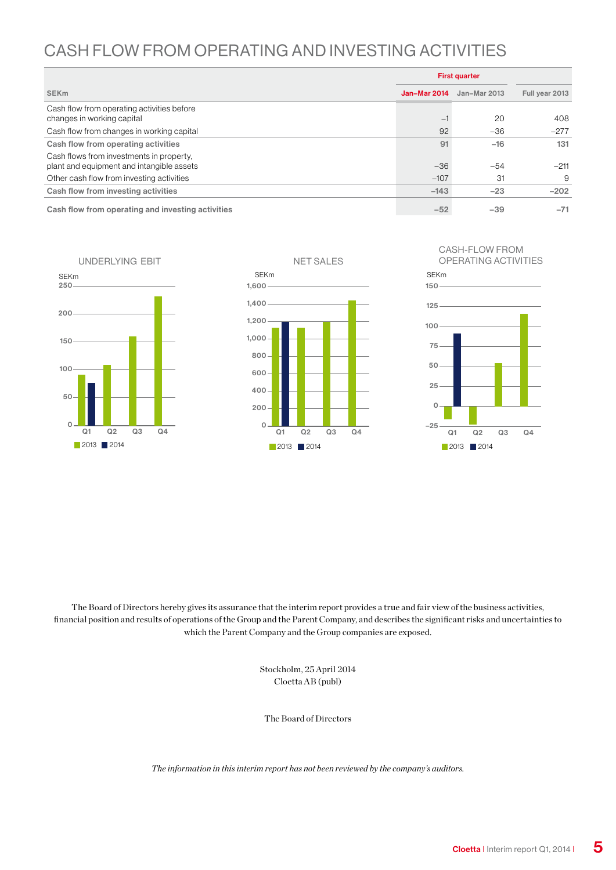### Cash flow from operating and investing activities

|                                                                                       | <b>First quarter</b> |              |                |
|---------------------------------------------------------------------------------------|----------------------|--------------|----------------|
| <b>SEK<sub>m</sub></b>                                                                | Jan-Mar 2014         | Jan-Mar 2013 | Full year 2013 |
| Cash flow from operating activities before<br>changes in working capital              | $-\vert$             | 20           | 408            |
| Cash flow from changes in working capital                                             | 92                   | $-36$        | $-277$         |
| Cash flow from operating activities                                                   | 91                   | $-16$        | 131            |
| Cash flows from investments in property,<br>plant and equipment and intangible assets | $-36$                | $-54$        | $-211$         |
| Other cash flow from investing activities                                             | $-107$               | 31           | 9              |
| Cash flow from investing activities                                                   | $-143$               | $-23$        | $-202$         |
| Cash flow from operating and investing activities                                     | $-52$                | $-39$        | $-71$          |

NET SALES SEKm 2013 2014  $\Omega$ 200 400 600 800 1,000 1,200 1,400 1,600 Q1 Q2 Q3 Q4 CASH-FLOW FROM OPERATING ACTIVITIES SEKm **2013** 2014 –25 0 25 50 75 100 125 150 Q1 Q2 Q3 Q4 UNDERLYING EBIT SEKm 2013 2014  $\overline{O}$ 50 100 150 200 250 Q1 Q2 Q3 Q4

The Board of Directors hereby gives its assurance that the interim report provides a true and fair view of the business activities, financial position and results of operations of the Group and the Parent Company, and describes the significant risks and uncertainties to which the Parent Company and the Group companies are exposed.

> Stockholm, 25 April 2014 Cloetta AB (publ)

The Board of Directors

*The information in this interim report has not been reviewed by the company's auditors.*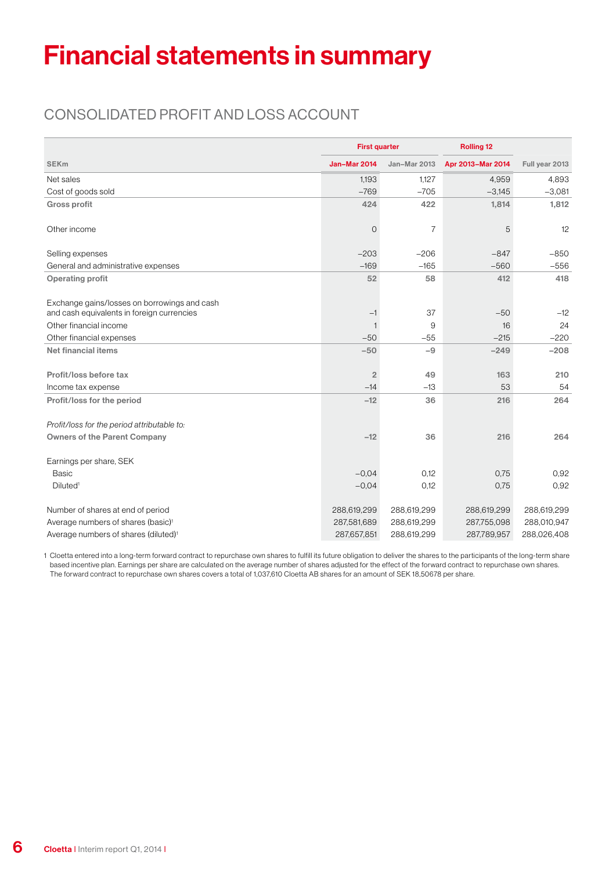## Financial statements in summary

### Consolidated profit and loss account

|                                                    |                     | <b>First quarter</b><br><b>Rolling 12</b> |                   |                |
|----------------------------------------------------|---------------------|-------------------------------------------|-------------------|----------------|
| <b>SEKm</b>                                        | <b>Jan-Mar 2014</b> | Jan-Mar 2013                              | Apr 2013-Mar 2014 | Full year 2013 |
| Net sales                                          | 1,193               | 1,127                                     | 4,959             | 4,893          |
| Cost of goods sold                                 | $-769$              | $-705$                                    | $-3,145$          | $-3,081$       |
| <b>Gross profit</b>                                | 424                 | 422                                       | 1,814             | 1,812          |
| Other income                                       | $\overline{O}$      | $\overline{7}$                            | 5                 | 12             |
| Selling expenses                                   | $-203$              | $-206$                                    | $-847$            | $-850$         |
| General and administrative expenses                | $-169$              | $-165$                                    | $-560$            | $-556$         |
| <b>Operating profit</b>                            | 52                  | 58                                        | 412               | 418            |
| Exchange gains/losses on borrowings and cash       |                     |                                           |                   |                |
| and cash equivalents in foreign currencies         | $-1$                | 37                                        | $-50$             | $-12$          |
| Other financial income<br>Other financial expenses | $-50$               | 9<br>$-55$                                | 16<br>$-215$      | 24<br>$-220$   |
|                                                    |                     |                                           |                   |                |
| Net financial items                                | $-50$               | $-9$                                      | $-249$            | $-208$         |
| Profit/loss before tax                             | $\overline{2}$      | 49                                        | 163               | 210            |
| Income tax expense                                 | $-14$               | $-13$                                     | 53                | 54             |
| Profit/loss for the period                         | $-12$               | 36                                        | 216               | 264            |
| Profit/loss for the period attributable to:        |                     |                                           |                   |                |
| <b>Owners of the Parent Company</b>                | $-12$               | 36                                        | 216               | 264            |
| Earnings per share, SEK                            |                     |                                           |                   |                |
| <b>Basic</b>                                       | $-0.04$             | 0,12                                      | 0,75              | 0,92           |
| Diluted <sup>1</sup>                               | $-0.04$             | 0,12                                      | 0,75              | 0,92           |
| Number of shares at end of period                  | 288,619,299         | 288,619,299                               | 288,619,299       | 288,619,299    |
| Average numbers of shares (basic) <sup>1</sup>     | 287,581,689         | 288,619,299                               | 287,755,098       | 288,010,947    |
| Average numbers of shares (diluted) <sup>1</sup>   | 287,657,851         | 288,619,299                               | 287,789,957       | 288,026,408    |

1 Cloetta entered into a long-term forward contract to repurchase own shares to fulfill its future obligation to deliver the shares to the participants of the long-term share based incentive plan. Earnings per share are calculated on the average number of shares adjusted for the effect of the forward contract to repurchase own shares. The forward contract to repurchase own shares covers a total of 1,037,610 Cloetta AB shares for an amount of SEK 18,50678 per share.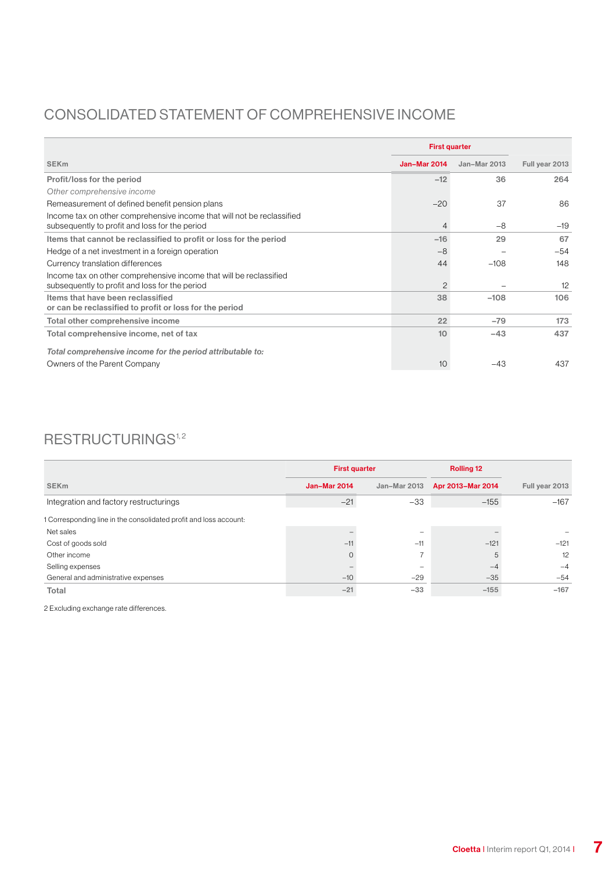### Consolidated statement of comprehensive income

|                                                                                                                          | <b>First quarter</b> |              |                |  |
|--------------------------------------------------------------------------------------------------------------------------|----------------------|--------------|----------------|--|
| <b>SEK<sub>m</sub></b>                                                                                                   | <b>Jan-Mar 2014</b>  | Jan-Mar 2013 | Full year 2013 |  |
| Profit/loss for the period                                                                                               | $-12$                | 36           | 264            |  |
| Other comprehensive income                                                                                               |                      |              |                |  |
| Remeasurement of defined benefit pension plans                                                                           | $-20$                | 37           | 86             |  |
| Income tax on other comprehensive income that will not be reclassified<br>subsequently to profit and loss for the period | 4                    | $-8$         | $-19$          |  |
| Items that cannot be reclassified to profit or loss for the period                                                       | $-16$                | 29           | 67             |  |
| Hedge of a net investment in a foreign operation                                                                         | $-8$                 |              | $-54$          |  |
| Currency translation differences                                                                                         | 44                   | $-108$       | 148            |  |
| Income tax on other comprehensive income that will be reclassified<br>subsequently to profit and loss for the period     | 2                    |              | 12             |  |
| Items that have been reclassified<br>or can be reclassified to profit or loss for the period                             | 38                   | $-108$       | 106            |  |
| Total other comprehensive income                                                                                         | 22                   | $-79$        | 173            |  |
| Total comprehensive income, net of tax                                                                                   | 10                   | $-43$        | 437            |  |
| Total comprehensive income for the period attributable to:                                                               |                      |              |                |  |
| Owners of the Parent Company                                                                                             | 10                   | $-43$        | 437            |  |

### $RESTRUCTURINGS<sup>1,2</sup>$

|                                                                   | <b>First quarter</b> |              | <b>Rolling 12</b> |                |
|-------------------------------------------------------------------|----------------------|--------------|-------------------|----------------|
| <b>SEKm</b>                                                       | Jan-Mar 2014         | Jan-Mar 2013 | Apr 2013-Mar 2014 | Full year 2013 |
| Integration and factory restructurings                            | $-21$                | $-33$        | $-155$            | $-167$         |
| 1 Corresponding line in the consolidated profit and loss account: |                      |              |                   |                |
| Net sales                                                         |                      | -            |                   |                |
| Cost of goods sold                                                | $-11$                | $-11$        | $-121$            | $-121$         |
| Other income                                                      |                      |              | 5                 | 12             |
| Selling expenses                                                  |                      |              | $-4$              | $-4$           |
| General and administrative expenses                               | $-10$                | $-29$        | $-35$             | $-54$          |
| Total                                                             | $-21$                | $-33$        | $-155$            | $-167$         |

2 Excluding exchange rate differences.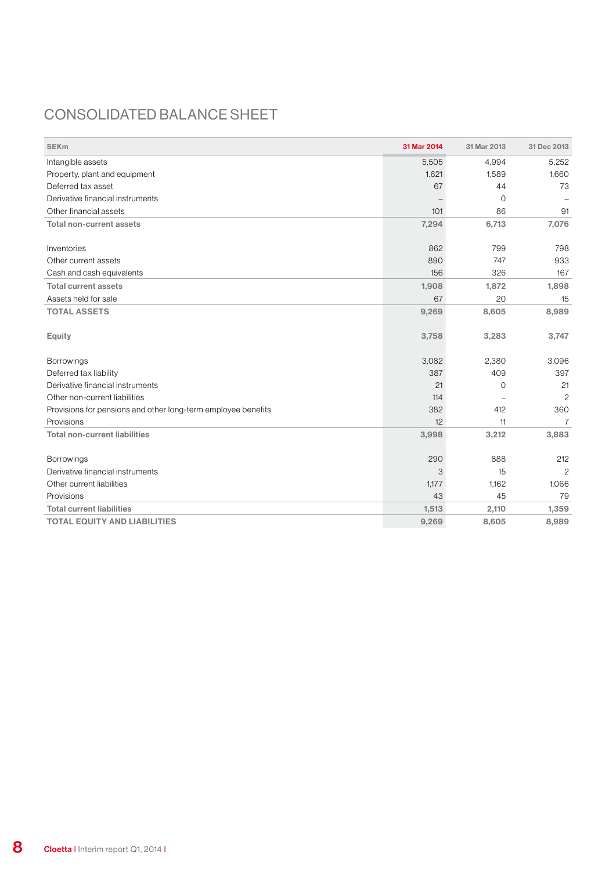### Consolidated balance sheet

| <b>SEKm</b>                                                   | 31 Mar 2014 | 31 Mar 2013  | 31 Dec 2013    |
|---------------------------------------------------------------|-------------|--------------|----------------|
| Intangible assets                                             | 5,505       | 4,994        | 5,252          |
| Property, plant and equipment                                 | 1,621       | 1,589        | 1,660          |
| Deferred tax asset                                            | 67          | 44           | 73             |
| Derivative financial instruments                              |             | 0            |                |
| Other financial assets                                        | 101         | 86           | 91             |
| Total non-current assets                                      | 7,294       | 6,713        | 7,076          |
| Inventories                                                   | 862         | 799          | 798            |
| Other current assets                                          | 890         | 747          | 933            |
| Cash and cash equivalents                                     | 156         | 326          | 167            |
| <b>Total current assets</b>                                   | 1,908       | 1,872        | 1,898          |
| Assets held for sale                                          | 67          | 20           | 15             |
| <b>TOTAL ASSETS</b>                                           | 9,269       | 8,605        | 8,989          |
| <b>Equity</b>                                                 | 3,758       | 3,283        | 3,747          |
| <b>Borrowings</b>                                             | 3,082       | 2,380        | 3,096          |
| Deferred tax liability                                        | 387         | 409          | 397            |
| Derivative financial instruments                              | 21          | $\mathbf{O}$ | 21             |
| Other non-current liabilities                                 | 114         |              | $\overline{c}$ |
| Provisions for pensions and other long-term employee benefits | 382         | 412          | 360            |
| Provisions                                                    | 12          | 11           | $\overline{7}$ |
| <b>Total non-current liabilities</b>                          | 3,998       | 3,212        | 3,883          |
| <b>Borrowings</b>                                             | 290         | 888          | 212            |
| Derivative financial instruments                              | 3           | 15           | $\overline{c}$ |
| Other current liabilities                                     | 1,177       | 1,162        | 1,066          |
| Provisions                                                    | 43          | 45           | 79             |
| <b>Total current liabilities</b>                              | 1,513       | 2,110        | 1,359          |
| <b>TOTAL EQUITY AND LIABILITIES</b>                           | 9,269       | 8,605        | 8,989          |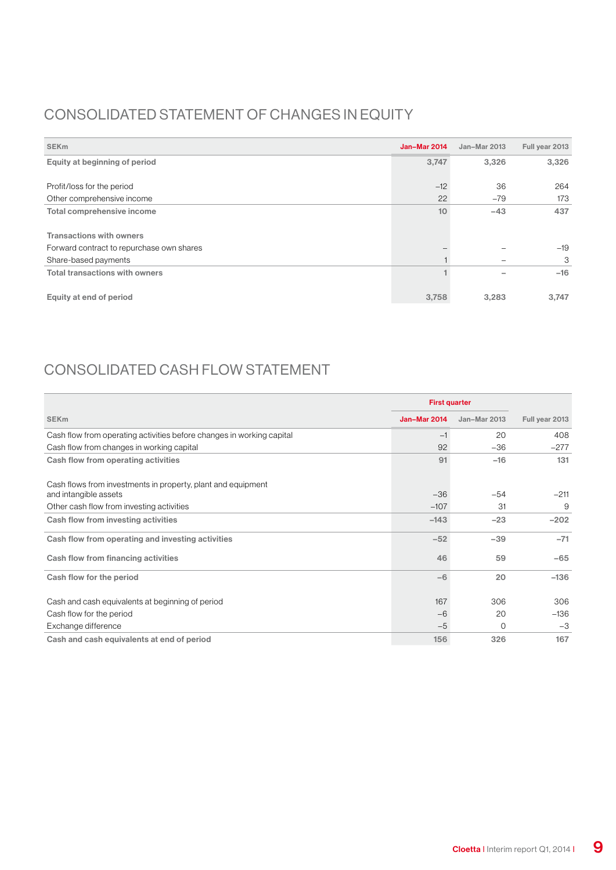### Consolidated statement of changes in equity

| <b>SEK<sub>m</sub></b>                    | <b>Jan-Mar 2014</b> | Jan-Mar 2013 | Full year 2013 |
|-------------------------------------------|---------------------|--------------|----------------|
| Equity at beginning of period             | 3,747               | 3,326        | 3,326          |
|                                           |                     |              |                |
| Profit/loss for the period                | $-12$               | 36           | 264            |
| Other comprehensive income                | 22                  | $-79$        | 173            |
| Total comprehensive income                | 10                  | $-43$        | 437            |
|                                           |                     |              |                |
| <b>Transactions with owners</b>           |                     |              |                |
| Forward contract to repurchase own shares |                     |              | $-19$          |
| Share-based payments                      |                     |              | 3              |
| <b>Total transactions with owners</b>     |                     |              | $-16$          |
|                                           |                     |              |                |
| Equity at end of period                   | 3,758               | 3,283        | 3,747          |

### Consolidated cash flow statement

|                                                                       | <b>First quarter</b> |              |                |
|-----------------------------------------------------------------------|----------------------|--------------|----------------|
| <b>SEK<sub>m</sub></b>                                                | <b>Jan-Mar 2014</b>  | Jan-Mar 2013 | Full year 2013 |
| Cash flow from operating activities before changes in working capital | $-1$                 | 20           | 408            |
| Cash flow from changes in working capital                             | 92                   | $-36$        | $-277$         |
| Cash flow from operating activities                                   | 91                   | $-16$        | 131            |
| Cash flows from investments in property, plant and equipment          |                      |              |                |
| and intangible assets                                                 | $-36$                | $-54$        | $-211$         |
| Other cash flow from investing activities                             | $-107$               | 31           | 9              |
| Cash flow from investing activities                                   | $-143$               | $-23$        | $-202$         |
| Cash flow from operating and investing activities                     | $-52$                | $-39$        | $-71$          |
| Cash flow from financing activities                                   | 46                   | 59           | $-65$          |
| Cash flow for the period                                              | $-6$                 | 20           | $-136$         |
| Cash and cash equivalents at beginning of period                      | 167                  | 306          | 306            |
| Cash flow for the period                                              | $-6$                 | 20           | $-136$         |
| Exchange difference                                                   | $-5$                 | $\Omega$     | $-3$           |
| Cash and cash equivalents at end of period                            | 156                  | 326          | 167            |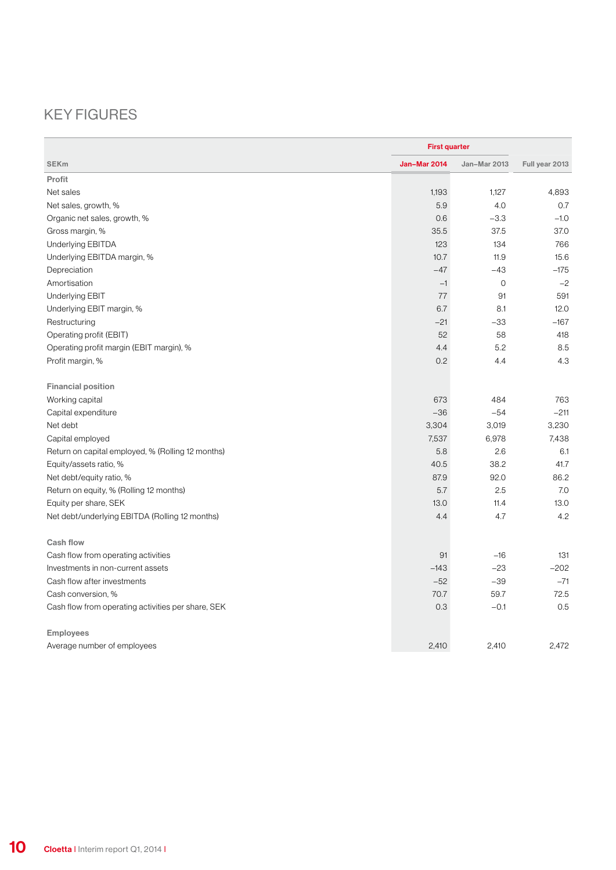### Key figures

|                                                    | <b>First quarter</b> |              |                |  |
|----------------------------------------------------|----------------------|--------------|----------------|--|
| <b>SEKm</b>                                        | <b>Jan-Mar 2014</b>  | Jan-Mar 2013 | Full year 2013 |  |
| Profit                                             |                      |              |                |  |
| Net sales                                          | 1,193                | 1,127        | 4,893          |  |
| Net sales, growth, %                               | 5.9                  | 4.0          | 0.7            |  |
| Organic net sales, growth, %                       | 0.6                  | $-3.3$       | $-1.0$         |  |
| Gross margin, %                                    | 35.5                 | 37.5         | 37.0           |  |
| Underlying EBITDA                                  | 123                  | 134          | 766            |  |
| Underlying EBITDA margin, %                        | 10.7                 | 11.9         | 15.6           |  |
| Depreciation                                       | $-47$                | $-43$        | $-175$         |  |
| Amortisation                                       | $-1$                 | 0            | $-2$           |  |
| Underlying EBIT                                    | 77                   | 91           | 591            |  |
| Underlying EBIT margin, %                          | 6.7                  | 8.1          | 12.0           |  |
| Restructuring                                      | $-21$                | $-33$        | $-167$         |  |
| Operating profit (EBIT)                            | 52                   | 58           | 418            |  |
| Operating profit margin (EBIT margin), %           | 4.4                  | 5.2          | 8.5            |  |
| Profit margin, %                                   | 0.2                  | 4.4          | 4.3            |  |
| <b>Financial position</b>                          |                      |              |                |  |
| Working capital                                    | 673                  | 484          | 763            |  |
| Capital expenditure                                | $-36$                | $-54$        | $-211$         |  |
| Net debt                                           | 3,304                | 3,019        | 3,230          |  |
| Capital employed                                   | 7,537                | 6,978        | 7,438          |  |
| Return on capital employed, % (Rolling 12 months)  | 5.8                  | 2.6          | 6.1            |  |
| Equity/assets ratio, %                             | 40.5                 | 38.2         | 41.7           |  |
| Net debt/equity ratio, %                           | 87.9                 | 92.0         | 86.2           |  |
| Return on equity, % (Rolling 12 months)            | 5.7                  | 2.5          | 7.0            |  |
| Equity per share, SEK                              | 13.0                 | 11.4         | 13.0           |  |
| Net debt/underlying EBITDA (Rolling 12 months)     | 4.4                  | 4.7          | 4.2            |  |
| Cash flow                                          |                      |              |                |  |
| Cash flow from operating activities                | 91                   | $-16$        | 131            |  |
| Investments in non-current assets                  | $-143$               | $-23$        | $-202$         |  |
| Cash flow after investments                        | $-52$                | $-39$        | $-71$          |  |
| Cash conversion, %                                 | 70.7                 | 59.7         | 72.5           |  |
| Cash flow from operating activities per share, SEK | 0.3                  | $-0.1$       | 0.5            |  |
| <b>Employees</b>                                   |                      |              |                |  |
| Average number of employees                        | 2,410                | 2.410        | 2.472          |  |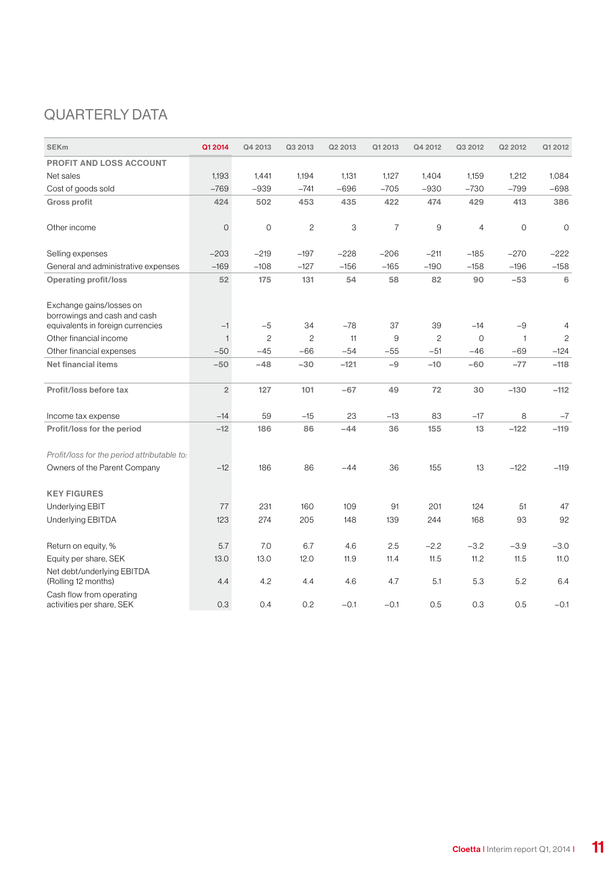### QUARTERLY DATA

| <b>SEKm</b>                                                                                   | Q1 2014        | Q4 2013        | Q3 2013        | Q2 2013 | Q1 2013 | Q4 2012      | Q3 2012      | Q2 2012      | Q1 2012        |
|-----------------------------------------------------------------------------------------------|----------------|----------------|----------------|---------|---------|--------------|--------------|--------------|----------------|
| <b>PROFIT AND LOSS ACCOUNT</b>                                                                |                |                |                |         |         |              |              |              |                |
| Net sales                                                                                     | 1,193          | 1,441          | 1.194          | 1,131   | 1,127   | 1,404        | 1,159        | 1,212        | 1,084          |
| Cost of goods sold                                                                            | $-769$         | $-939$         | $-741$         | $-696$  | $-705$  | $-930$       | $-730$       | $-799$       | $-698$         |
| <b>Gross profit</b>                                                                           | 424            | 502            | 453            | 435     | 422     | 474          | 429          | 413          | 386            |
| Other income                                                                                  | $\mathbf 0$    | 0              | $\overline{c}$ | 3       | 7       | 9            | 4            | $\circ$      | 0              |
| Selling expenses                                                                              | $-203$         | $-219$         | $-197$         | $-228$  | $-206$  | $-211$       | $-185$       | $-270$       | $-222$         |
| General and administrative expenses                                                           | $-169$         | $-108$         | $-127$         | $-156$  | $-165$  | $-190$       | $-158$       | $-196$       | $-158$         |
| <b>Operating profit/loss</b>                                                                  | 52             | 175            | 131            | 54      | 58      | 82           | 90           | $-53$        | 6              |
| Exchange gains/losses on<br>borrowings and cash and cash<br>equivalents in foreign currencies | $-1$           | $-5$           | 34             | $-78$   | 37      | 39           | $-14$        | $-9$         | $\overline{4}$ |
| Other financial income                                                                        | 1              | $\overline{c}$ | 2              | 11      | 9       | $\mathbf{2}$ | $\mathbf{O}$ | $\mathbf{1}$ | $\mathbf{2}$   |
| Other financial expenses                                                                      | $-50$          | $-45$          | $-66$          | $-54$   | $-55$   | $-51$        | $-46$        | $-69$        | $-124$         |
| <b>Net financial items</b>                                                                    | $-50$          | $-48$          | $-30$          | $-121$  | $-9$    | $-10$        | $-60$        | $-77$        | $-118$         |
| Profit/loss before tax                                                                        | $\overline{2}$ | 127            | 101            | $-67$   | 49      | 72           | 30           | $-130$       | $-112$         |
| Income tax expense                                                                            | $-14$          | 59             | $-15$          | 23      | $-13$   | 83           | $-17$        | 8            | $-7$           |
| Profit/loss for the period                                                                    | $-12$          | 186            | 86             | $-44$   | 36      | 155          | 13           | $-122$       | $-119$         |
| Profit/loss for the period attributable to:                                                   |                |                |                |         |         |              |              |              |                |
| Owners of the Parent Company                                                                  | $-12$          | 186            | 86             | $-44$   | 36      | 155          | 13           | $-122$       | $-119$         |
| <b>KEY FIGURES</b>                                                                            |                |                |                |         |         |              |              |              |                |
| <b>Underlying EBIT</b>                                                                        | 77             | 231            | 160            | 109     | 91      | 201          | 124          | 51           | 47             |
| <b>Underlying EBITDA</b>                                                                      | 123            | 274            | 205            | 148     | 139     | 244          | 168          | 93           | 92             |
| Return on equity, %                                                                           | 5.7            | 7.0            | 6.7            | 4.6     | 2.5     | $-2.2$       | $-3.2$       | $-3.9$       | $-3.0$         |
| Equity per share, SEK                                                                         | 13.0           | 13.0           | 12.0           | 11.9    | 11.4    | 11.5         | 11.2         | 11.5         | 11.0           |
| Net debt/underlying EBITDA<br>(Rolling 12 months)                                             | 4.4            | 4.2            | 4.4            | 4.6     | 4.7     | 5.1          | 5.3          | 5.2          | 6.4            |
| Cash flow from operating<br>activities per share, SEK                                         | 0.3            | 0.4            | 0.2            | $-0.1$  | $-0.1$  | 0.5          | 0.3          | 0.5          | $-0.1$         |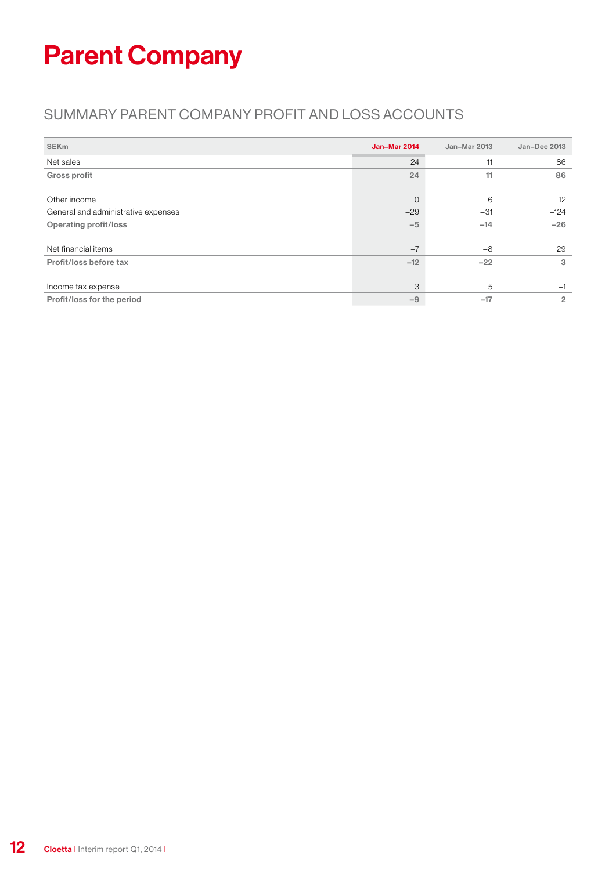## Parent Company

### Summary parent company profit and loss accounts

| <b>SEK<sub>m</sub></b>              | Jan-Mar 2014 | Jan-Mar 2013 | Jan-Dec 2013   |
|-------------------------------------|--------------|--------------|----------------|
| Net sales                           | 24           | 11           | 86             |
| <b>Gross profit</b>                 | 24           | 11           | 86             |
|                                     |              |              |                |
| Other income                        | $\Omega$     | 6            | 12             |
| General and administrative expenses | $-29$        | $-31$        | $-124$         |
| <b>Operating profit/loss</b>        | $-5$         | $-14$        | $-26$          |
|                                     |              |              |                |
| Net financial items                 | $-7$         | $-8$         | 29             |
| Profit/loss before tax              | $-12$        | $-22$        | 3              |
|                                     |              |              |                |
| Income tax expense                  | 3            | 5            | $-1$           |
| Profit/loss for the period          | $-9$         | $-17$        | $\overline{2}$ |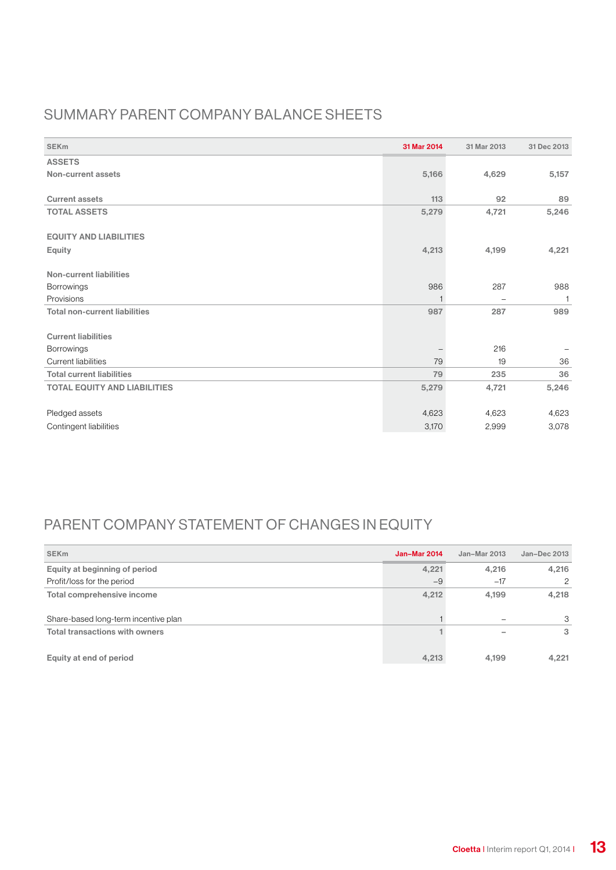### Summary parent company balance sheets

| <b>SEK<sub>m</sub></b>               | 31 Mar 2014 | 31 Mar 2013 | 31 Dec 2013  |
|--------------------------------------|-------------|-------------|--------------|
| <b>ASSETS</b>                        |             |             |              |
| Non-current assets                   | 5,166       | 4,629       | 5,157        |
|                                      |             |             |              |
| <b>Current assets</b>                | 113         | 92          | 89           |
| <b>TOTAL ASSETS</b>                  | 5,279       | 4,721       | 5,246        |
|                                      |             |             |              |
| <b>EQUITY AND LIABILITIES</b>        |             |             |              |
| Equity                               | 4,213       | 4,199       | 4,221        |
| <b>Non-current liabilities</b>       |             |             |              |
| Borrowings                           | 986         | 287         | 988          |
| Provisions                           | 1           | -           | $\mathbf{1}$ |
| <b>Total non-current liabilities</b> | 987         | 287         | 989          |
|                                      |             |             |              |
| <b>Current liabilities</b>           |             |             |              |
| Borrowings                           |             | 216         |              |
| Current liabilities                  | 79          | 19          | 36           |
| <b>Total current liabilities</b>     | 79          | 235         | 36           |
| <b>TOTAL EQUITY AND LIABILITIES</b>  | 5,279       | 4,721       | 5,246        |
|                                      |             |             |              |
| Pledged assets                       | 4,623       | 4,623       | 4,623        |
| Contingent liabilities               | 3,170       | 2,999       | 3,078        |

### PARENT COMPANY STATEMENT OF CHANGES IN EQUITY

| <b>SEK<sub>m</sub></b>                | <b>Jan-Mar 2014</b> | Jan-Mar 2013 | Jan-Dec 2013 |
|---------------------------------------|---------------------|--------------|--------------|
| Equity at beginning of period         | 4,221               | 4,216        | 4,216        |
| Profit/loss for the period            | $-9$                | $-17$        | 2            |
| Total comprehensive income            | 4,212               | 4.199        | 4,218        |
| Share-based long-term incentive plan  |                     |              | 3            |
| <b>Total transactions with owners</b> |                     |              | 3            |
| Equity at end of period               | 4,213               | 4.199        | 4.221        |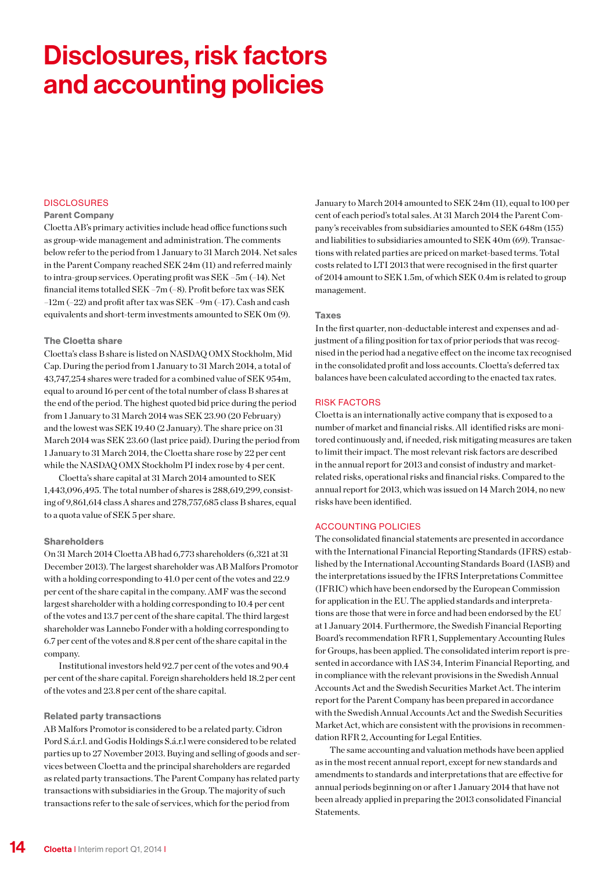## Disclosures, risk factors and accounting policies

### **DISCLOSURES**

#### Parent Company

Cloetta AB's primary activities include head office functions such as group-wide management and administration. The comments below refer to the period from 1 January to 31 March 2014. Net sales in the Parent Company reached SEK 24m (11) and referred mainly to intra-group services. Operating profit was SEK –5m (–14). Net financial items totalled SEK –7m (–8). Profit before tax was SEK –12m (–22) and profit after tax was SEK –9m (–17). Cash and cash equivalents and short-term investments amounted to SEK 0m (9).

#### The Cloetta share

Cloetta's class B share is listed on NASDAQ OMX Stockholm, Mid Cap. During the period from 1 January to 31 March 2014, a total of 43,747,254 shares were traded for a combined value of SEK 954m, equal to around 16 per cent of the total number of class B shares at the end of the period. The highest quoted bid price during the period from 1 January to 31 March 2014 was SEK 23.90 (20 February) and the lowest was SEK 19.40 (2 January). The share price on 31 March 2014 was SEK 23.60 (last price paid). During the period from 1 January to 31 March 2014, the Cloetta share rose by 22 per cent while the NASDAQ OMX Stockholm PI index rose by 4 per cent.

Cloetta's share capital at 31 March 2014 amounted to SEK 1,443,096,495. The total number of shares is 288,619,299, consisting of 9,861,614 class A shares and 278,757,685 class B shares, equal to a quota value of SEK 5 per share.

#### **Shareholders**

On 31 March 2014 Cloetta AB had 6,773 shareholders (6,321 at 31 December 2013). The largest shareholder was AB Malfors Promotor with a holding corresponding to 41.0 per cent of the votes and 22.9 per cent of the share capital in the company. AMF was the second largest shareholder with a holding corresponding to 10.4 per cent of the votes and 13.7 per cent of the share capital. The third largest shareholder was Lannebo Fonder with a holding corresponding to 6.7 per cent of the votes and 8.8 per cent of the share capital in the company.

Institutional investors held 92.7 per cent of the votes and 90.4 per cent of the share capital. Foreign shareholders held 18.2 per cent of the votes and 23.8 per cent of the share capital.

#### Related party transactions

AB Malfors Promotor is considered to be a related party. Cidron Pord S.á.r.l. and Godis Holdings S.á.r.l were considered to be related parties up to 27 November 2013. Buying and selling of goods and services between Cloetta and the principal shareholders are regarded as related party transactions. The Parent Company has related party transactions with subsidiaries in the Group. The majority of such transactions refer to the sale of services, which for the period from

January to March 2014 amounted to SEK 24m (11), equal to 100 per cent of each period's total sales. At 31 March 2014 the Parent Company's receivables from subsidiaries amounted to SEK 648m (155) and liabilities to subsidiaries amounted to SEK 40m (69). Transactions with related parties are priced on market-based terms. Total costs related to LTI 2013 that were recognised in the first quarter of 2014 amount to SEK 1.5m, of which SEK 0.4m is related to group management.

#### Taxes

In the first quarter, non-deductable interest and expenses and adjustment of a filing position for tax of prior periods that was recognised in the period had a negative effect on the income tax recognised in the consolidated profit and loss accounts. Cloetta's deferred tax balances have been calculated according to the enacted tax rates.

#### RISK FACTORS

Cloetta is an internationally active company that is exposed to a number of market and financial risks. All identified risks are monitored continuously and, if needed, risk mitigating measures are taken to limit their impact. The most relevant risk factors are described in the annual report for 2013 and consist of industry and marketrelated risks, operational risks and financial risks. Compared to the annual report for 2013, which was issued on 14 March 2014, no new risks have been identified.

### ACCOUNTING POLICIES

The consolidated financial statements are presented in accordance with the International Financial Reporting Standards (IFRS) established by the International Accounting Standards Board (IASB) and the interpretations issued by the IFRS Interpretations Committee (IFRIC) which have been endorsed by the European Commission for application in the EU. The applied standards and interpretations are those that were in force and had been endorsed by the EU at 1 January 2014. Furthermore, the Swedish Financial Reporting Board's recommendation RFR 1, Supplementary Accounting Rules for Groups, has been applied. The consolidated interim report is presented in accordance with IAS 34, Interim Financial Reporting, and in compliance with the relevant provisions in the Swedish Annual Accounts Act and the Swedish Securities Market Act. The interim report for the Parent Company has been prepared in accordance with the Swedish Annual Accounts Act and the Swedish Securities Market Act, which are consistent with the provisions in recommendation RFR 2, Accounting for Legal Entities.

The same accounting and valuation methods have been applied as in the most recent annual report, except for new standards and amendments to standards and interpretations that are effective for annual periods beginning on or after 1 January 2014 that have not been already applied in preparing the 2013 consolidated Financial Statements.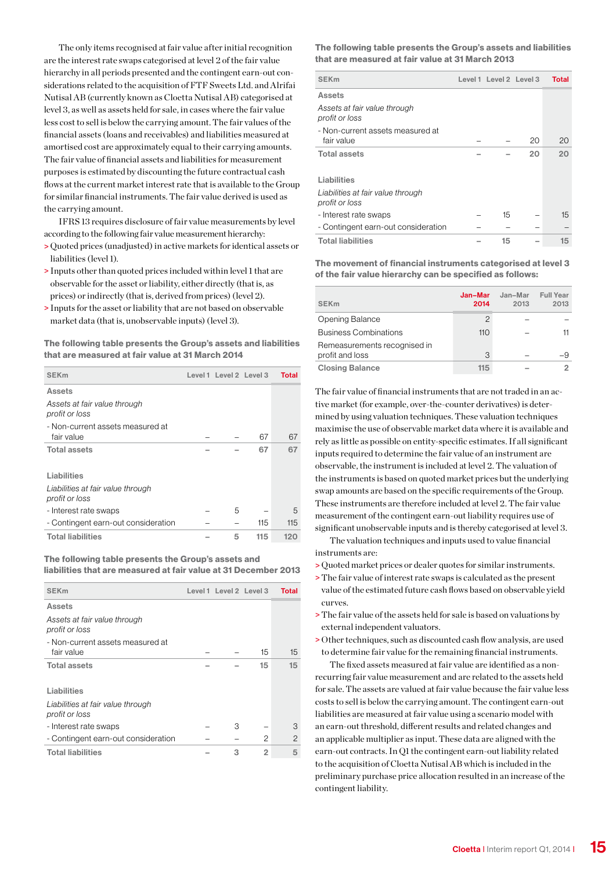The only items recognised at fair value after initial recognition are the interest rate swaps categorised at level 2 of the fair value hierarchy in all periods presented and the contingent earn-out considerations related to the acquisition of FTF Sweets Ltd. and Alrifai Nutisal AB (currently known as Cloetta Nutisal AB) categorised at level 3, as well as assets held for sale, in cases where the fair value less cost to sell is below the carrying amount. The fair values of the financial assets (loans and receivables) and liabilities measured at amortised cost are approximately equal to their carrying amounts. The fair value of financial assets and liabilities for measurement purposes is estimated by discounting the future contractual cash flows at the current market interest rate that is available to the Group for similar financial instruments. The fair value derived is used as the carrying amount.

IFRS 13 requires disclosure of fair value measurements by level according to the following fair value measurement hierarchy:

- > Quoted prices (unadjusted) in active markets for identical assets or liabilities (level 1).
- > Inputs other than quoted prices included within level 1 that are observable for the asset or liability, either directly (that is, as prices) or indirectly (that is, derived from prices) (level 2).
- > Inputs for the asset or liability that are not based on observable market data (that is, unobservable inputs) (level 3).

The following table presents the Group's assets and liabilities that are measured at fair value at 31 March 2014

| <b>SEK<sub>m</sub></b>                              | Level 1 Level 2 Level 3 |     | Total |
|-----------------------------------------------------|-------------------------|-----|-------|
| <b>Assets</b>                                       |                         |     |       |
| Assets at fair value through<br>profit or loss      |                         |     |       |
| - Non-current assets measured at<br>fair value      |                         | 67  | 67    |
| <b>Total assets</b>                                 |                         | 67  | 67    |
| Liabilities                                         |                         |     |       |
| Liabilities at fair value through<br>profit or loss |                         |     |       |
| - Interest rate swaps                               | 5                       |     | 5     |
| - Contingent earn-out consideration                 |                         | 115 | 115   |
| <b>Total liabilities</b>                            | 5                       | 115 | 120   |

### The following table presents the Group's assets and liabilities that are measured at fair value at 31 December 2013

| <b>SEK<sub>m</sub></b>                              | Level 1 Level 2 Level 3 |    | Total   |
|-----------------------------------------------------|-------------------------|----|---------|
| <b>Assets</b>                                       |                         |    |         |
| Assets at fair value through<br>profit or loss      |                         |    |         |
| - Non-current assets measured at<br>fair value      |                         | 15 | $15 \,$ |
| <b>Total assets</b>                                 |                         | 15 | 15      |
| Liabilities                                         |                         |    |         |
| Liabilities at fair value through<br>profit or loss |                         |    |         |
| - Interest rate swaps                               | З                       |    | З       |
| - Contingent earn-out consideration                 |                         | 2  | 2       |
| <b>Total liabilities</b>                            | 3                       | 2  | 5       |

The following table presents the Group's assets and liabilities that are measured at fair value at 31 March 2013

| <b>SEK<sub>m</sub></b>                              | Level 1 Level 2 Level 3 |    | Total |
|-----------------------------------------------------|-------------------------|----|-------|
| Assets                                              |                         |    |       |
| Assets at fair value through<br>profit or loss      |                         |    |       |
| - Non-current assets measured at                    |                         |    |       |
| fair value                                          |                         | 20 | 20    |
| <b>Total assets</b>                                 |                         | 20 | 20    |
| Liabilities                                         |                         |    |       |
| Liabilities at fair value through<br>profit or loss |                         |    |       |
| - Interest rate swaps                               | 15                      |    | 15    |
| - Contingent earn-out consideration                 |                         |    |       |
| <b>Total liabilities</b>                            | 15                      |    | 15    |

The movement of financial instruments categorised at level 3 of the fair value hierarchy can be specified as follows:

| <b>SEK<sub>m</sub></b>       | Jan-Mar<br>2014 | Jan-Mar<br>2013 | <b>Full Year</b><br>2013 |
|------------------------------|-----------------|-----------------|--------------------------|
| Opening Balance              | $\mathcal{P}$   |                 |                          |
| <b>Business Combinations</b> | 110             |                 |                          |
| Remeasurements recognised in |                 |                 |                          |
| profit and loss              | 3               |                 |                          |
| <b>Closing Balance</b>       | 115             |                 |                          |

The fair value of financial instruments that are not traded in an active market (for example, over-the-counter derivatives) is determined by using valuation techniques. These valuation techniques maximise the use of observable market data where it is available and rely as little as possible on entity-specific estimates. If all significant inputs required to determine the fair value of an instrument are observable, the instrument is included at level 2. The valuation of the instruments is based on quoted market prices but the underlying swap amounts are based on the specific requirements of the Group. These instruments are therefore included at level 2. The fair value measurement of the contingent earn-out liability requires use of significant unobservable inputs and is thereby categorised at level 3.

The valuation techniques and inputs used to value financial instruments are:

- > Quoted market prices or dealer quotes for similar instruments.
- >The fair value of interest rate swaps is calculated as the present value of the estimated future cash flows based on observable yield curves.
- >The fair value of the assets held for sale is based on valuations by external independent valuators.
- > Other techniques, such as discounted cash flow analysis, are used to determine fair value for the remaining financial instruments.

The fixed assets measured at fair value are identified as a nonrecurring fair value measurement and are related to the assets held for sale. The assets are valued at fair value because the fair value less costs to sell is below the carrying amount. The contingent earn-out liabilities are measured at fair value using a scenario model with an earn-out threshold, different results and related changes and an applicable multiplier as input. These data are aligned with the earn-out contracts. In Q1 the contingent earn-out liability related to the acquisition of Cloetta Nutisal AB which is included in the preliminary purchase price allocation resulted in an increase of the contingent liability.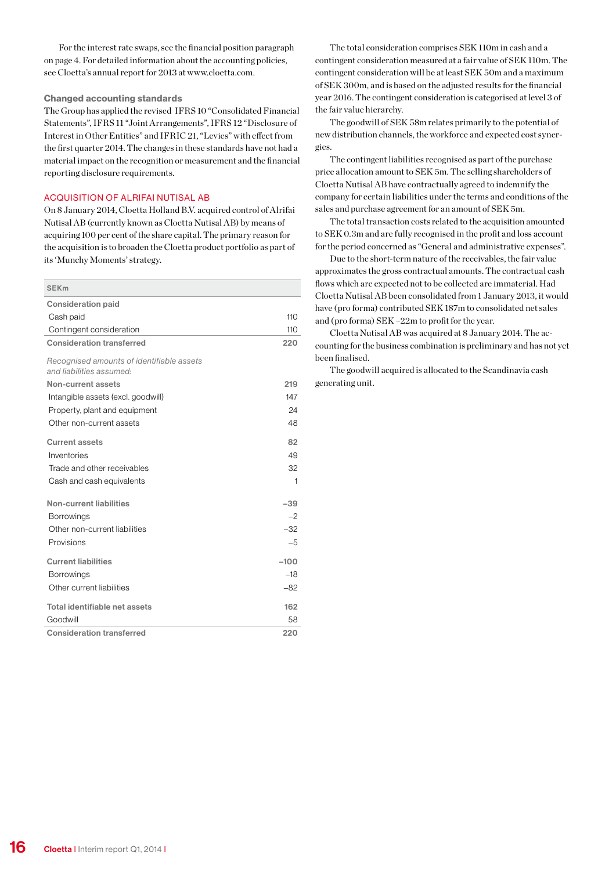For the interest rate swaps, see the financial position paragraph on page 4. For detailed information about the accounting policies, see Cloetta's annual report for 2013 at www.cloetta.com.

### Changed accounting standards

The Group has applied the revised IFRS 10 "Consolidated Financial Statements", IFRS 11 "Joint Arrangements", IFRS 12 "Disclosure of Interest in Other Entities" and IFRIC 21, "Levies" with effect from the first quarter 2014. The changes in these standards have not had a material impact on the recognition or measurement and the financial reporting disclosure requirements.

### ACQUISITION OF ALRIFAI NUTISAL AB

On 8 January 2014, Cloetta Holland B.V. acquired control of Alrifai Nutisal AB (currently known as Cloetta Nutisal AB) by means of acquiring 100 per cent of the share capital. The primary reason for the acquisition is to broaden the Cloetta product portfolio as part of its 'Munchy Moments' strategy.

| <b>SEKm</b>                               |        |
|-------------------------------------------|--------|
| <b>Consideration paid</b>                 |        |
| Cash paid                                 | 110    |
| Contingent consideration                  | 110    |
| <b>Consideration transferred</b>          | 220    |
| Recognised amounts of identifiable assets |        |
| and liabilities assumed:                  |        |
| Non-current assets                        | 219    |
| Intangible assets (excl. goodwill)        | 147    |
| Property, plant and equipment             | 24     |
| Other non-current assets                  | 48     |
| <b>Current assets</b>                     | 82     |
| Inventories                               | 49     |
| Trade and other receivables               | 32     |
| Cash and cash equivalents                 | 1      |
| <b>Non-current liabilities</b>            | $-39$  |
| <b>Borrowings</b>                         | $-2$   |
| Other non-current liabilities             | $-32$  |
| Provisions                                | $-5$   |
| <b>Current liabilities</b>                | $-100$ |
| <b>Borrowings</b>                         | $-18$  |
| Other current liabilities                 | $-82$  |
| Total identifiable net assets             | 162    |
| Goodwill                                  | 58     |
| <b>Consideration transferred</b>          | 220    |

The total consideration comprises SEK 110m in cash and a contingent consideration measured at a fair value of SEK 110m. The contingent consideration will be at least SEK 50m and a maximum of SEK 300m, and is based on the adjusted results for the financial year 2016. The contingent consideration is categorised at level 3 of the fair value hierarchy.

The goodwill of SEK 58m relates primarily to the potential of new distribution channels, the workforce and expected cost synergies.

The contingent liabilities recognised as part of the purchase price allocation amount to SEK 5m. The selling shareholders of Cloetta Nutisal AB have contractually agreed to indemnify the company for certain liabilities under the terms and conditions of the sales and purchase agreement for an amount of SEK 5m.

The total transaction costs related to the acquisition amounted to SEK 0.3m and are fully recognised in the profit and loss account for the period concerned as "General and administrative expenses".

Due to the short-term nature of the receivables, the fair value approximates the gross contractual amounts. The contractual cash flows which are expected not to be collected are immaterial. Had Cloetta Nutisal AB been consolidated from 1 January 2013, it would have (pro forma) contributed SEK 187m to consolidated net sales and (pro forma) SEK –22m to profit for the year.

Cloetta Nutisal AB was acquired at 8 January 2014. The accounting for the business combination is preliminary and has not yet been finalised.

The goodwill acquired is allocated to the Scandinavia cash generating unit.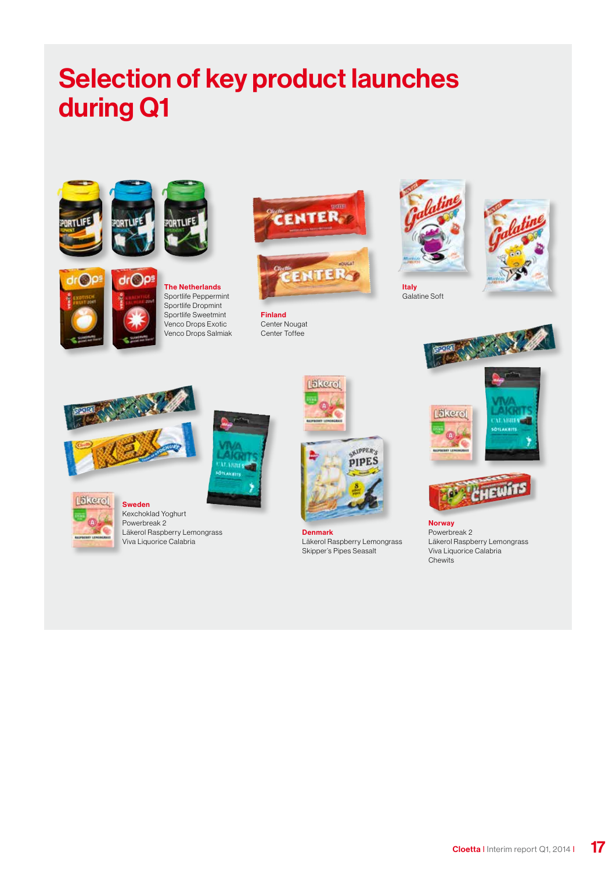## Selection of key product launches during Q1





 $dr()p$ The Netherlands Sportlife Peppermint Sportlife Dropmint Sportlife Sweetmint Venco Drops Exotic Venco Drops Salmiak



南マンマ

Finland Center Nougat Center Toffee



Galatine Soft







Sweden Kexchoklad Yoghurt Powerbreak 2

Läkerol

Läkerol Raspberry Lemongrass Viva Liquorice Calabria





Denmark Läkerol Raspberry Lemongrass Skipper's Pipes Seasalt

Norway Powerbreak 2 Läkerol Raspberry Lemongrass Viva Liquorice Calabria Chewits

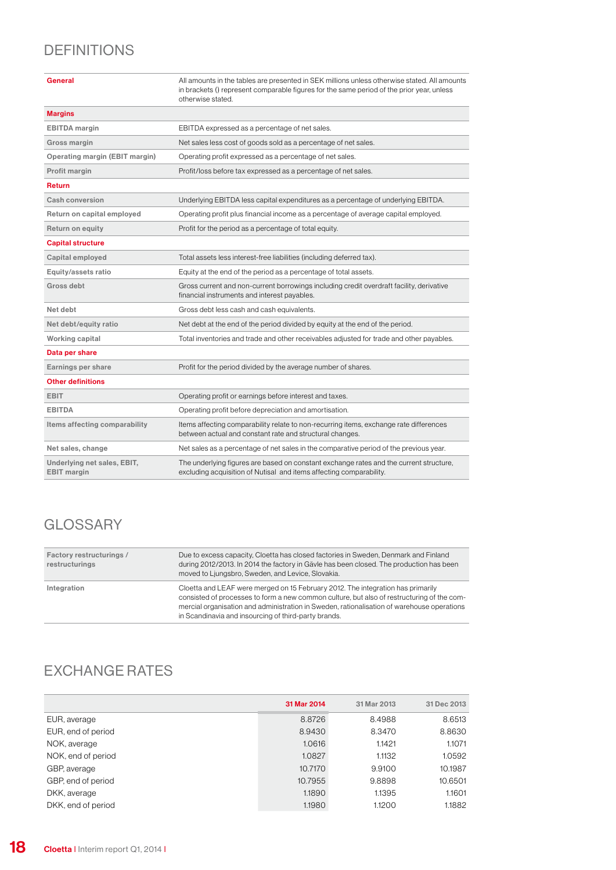### **DEFINITIONS**

| General                                           | All amounts in the tables are presented in SEK millions unless otherwise stated. All amounts<br>in brackets () represent comparable figures for the same period of the prior year, unless<br>otherwise stated. |
|---------------------------------------------------|----------------------------------------------------------------------------------------------------------------------------------------------------------------------------------------------------------------|
| <b>Margins</b>                                    |                                                                                                                                                                                                                |
| <b>EBITDA</b> margin                              | EBITDA expressed as a percentage of net sales.                                                                                                                                                                 |
| Gross margin                                      | Net sales less cost of goods sold as a percentage of net sales.                                                                                                                                                |
| <b>Operating margin (EBIT margin)</b>             | Operating profit expressed as a percentage of net sales.                                                                                                                                                       |
| Profit margin                                     | Profit/loss before tax expressed as a percentage of net sales.                                                                                                                                                 |
| <b>Return</b>                                     |                                                                                                                                                                                                                |
| Cash conversion                                   | Underlying EBITDA less capital expenditures as a percentage of underlying EBITDA.                                                                                                                              |
| Return on capital employed                        | Operating profit plus financial income as a percentage of average capital employed.                                                                                                                            |
| Return on equity                                  | Profit for the period as a percentage of total equity.                                                                                                                                                         |
| <b>Capital structure</b>                          |                                                                                                                                                                                                                |
| Capital employed                                  | Total assets less interest-free liabilities (including deferred tax).                                                                                                                                          |
| Equity/assets ratio                               | Equity at the end of the period as a percentage of total assets.                                                                                                                                               |
| Gross debt                                        | Gross current and non-current borrowings including credit overdraft facility, derivative<br>financial instruments and interest payables.                                                                       |
| Net debt                                          | Gross debt less cash and cash equivalents.                                                                                                                                                                     |
| Net debt/equity ratio                             | Net debt at the end of the period divided by equity at the end of the period.                                                                                                                                  |
| Working capital                                   | Total inventories and trade and other receivables adjusted for trade and other payables.                                                                                                                       |
| Data per share                                    |                                                                                                                                                                                                                |
| Earnings per share                                | Profit for the period divided by the average number of shares.                                                                                                                                                 |
| <b>Other definitions</b>                          |                                                                                                                                                                                                                |
| <b>EBIT</b>                                       | Operating profit or earnings before interest and taxes.                                                                                                                                                        |
| <b>EBITDA</b>                                     | Operating profit before depreciation and amortisation.                                                                                                                                                         |
| Items affecting comparability                     | Items affecting comparability relate to non-recurring items, exchange rate differences<br>between actual and constant rate and structural changes.                                                             |
| Net sales, change                                 | Net sales as a percentage of net sales in the comparative period of the previous year.                                                                                                                         |
| Underlying net sales, EBIT,<br><b>EBIT</b> margin | The underlying figures are based on constant exchange rates and the current structure,<br>excluding acquisition of Nutisal and items affecting comparability.                                                  |

### **GLOSSARY**

| Factory restructurings /<br>restructurings | Due to excess capacity, Cloetta has closed factories in Sweden, Denmark and Finland<br>during 2012/2013. In 2014 the factory in Gävle has been closed. The production has been<br>moved to Ljungsbro, Sweden, and Levice, Slovakia.                                                                                                 |
|--------------------------------------------|-------------------------------------------------------------------------------------------------------------------------------------------------------------------------------------------------------------------------------------------------------------------------------------------------------------------------------------|
| Integration                                | Cloetta and LEAF were merged on 15 February 2012. The integration has primarily<br>consisted of processes to form a new common culture, but also of restructuring of the com-<br>mercial organisation and administration in Sweden, rationalisation of warehouse operations<br>in Scandinavia and insourcing of third-party brands. |

### EXCHANGE RATES

|                    | 31 Mar 2014 | 31 Mar 2013 | 31 Dec 2013 |
|--------------------|-------------|-------------|-------------|
| EUR, average       | 8.8726      | 8.4988      | 8.6513      |
| EUR, end of period | 8.9430      | 8.3470      | 8.8630      |
| NOK, average       | 1.0616      | 1.1421      | 1.1071      |
| NOK, end of period | 1.0827      | 1.1132      | 1.0592      |
| GBP, average       | 10.7170     | 9.9100      | 10.1987     |
| GBP, end of period | 10.7955     | 9.8898      | 10.6501     |
| DKK, average       | 1.1890      | 1.1395      | 1.1601      |
| DKK, end of period | 1.1980      | 1.1200      | 1.1882      |